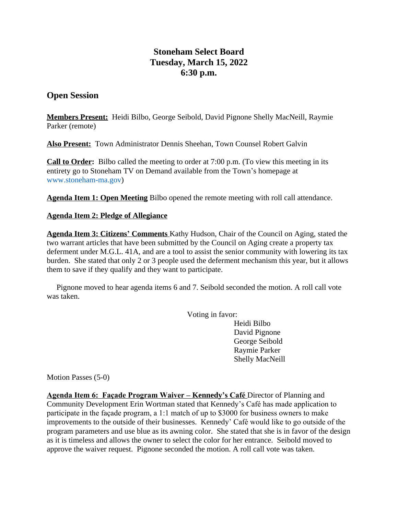## **Stoneham Select Board Tuesday, March 15, 2022 6:30 p.m.**

## **Open Session**

**Members Present:** Heidi Bilbo, George Seibold, David Pignone Shelly MacNeill, Raymie Parker (remote)

**Also Present:** Town Administrator Dennis Sheehan, Town Counsel Robert Galvin

**Call to Order:** Bilbo called the meeting to order at 7:00 p.m. (To view this meeting in its entirety go to Stoneham TV on Demand available from the Town's homepage at [www.stoneham-ma.gov\)](http://www.stoneham-ma.gov)

**Agenda Item 1: Open Meeting** Bilbo opened the remote meeting with roll call attendance.

## **Agenda Item 2: Pledge of Allegiance**

**Agenda Item 3: Citizens' Comments** Kathy Hudson, Chair of the Council on Aging, stated the two warrant articles that have been submitted by the Council on Aging create a property tax deferment under M.G.L. 41A, and are a tool to assist the senior community with lowering its tax burden. She stated that only 2 or 3 people used the deferment mechanism this year, but it allows them to save if they qualify and they want to participate.

 Pignone moved to hear agenda items 6 and 7. Seibold seconded the motion. A roll call vote was taken.

Voting in favor:

Heidi Bilbo David Pignone George Seibold Raymie Parker Shelly MacNeill

Motion Passes (5-0)

**Agenda Item 6: Façade Program Waiver – Kennedy's Café** Director of Planning and Community Development Erin Wortman stated that Kennedy's Café has made application to participate in the façade program, a 1:1 match of up to \$3000 for business owners to make improvements to the outside of their businesses. Kennedy' Café would like to go outside of the program parameters and use blue as its awning color. She stated that she is in favor of the design as it is timeless and allows the owner to select the color for her entrance. Seibold moved to approve the waiver request. Pignone seconded the motion. A roll call vote was taken.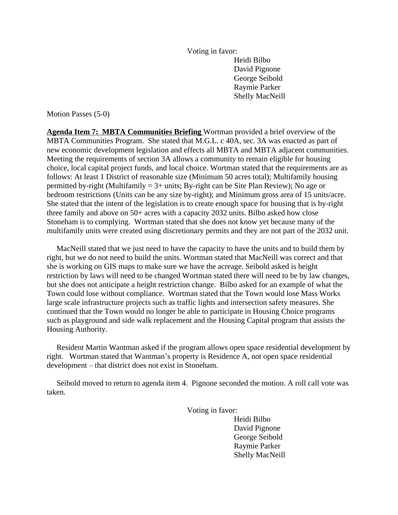Voting in favor: Heidi Bilbo David Pignone George Seibold Raymie Parker Shelly MacNeill

Motion Passes (5-0)

**Agenda Item 7: MBTA Communities Briefing** Wortman provided a brief overview of the MBTA Communities Program. She stated that M.G.L. c 40A, sec. 3A was enacted as part of new economic development legislation and effects all MBTA and MBTA adjacent communities. Meeting the requirements of section 3A allows a community to remain eligible for housing choice, local capital project funds, and local choice. Wortman stated that the requirements are as follows: At least 1 District of reasonable size (Minimum 50 acres total); Multifamily housing permitted by-right (Multifamily  $= 3+$  units; By-right can be Site Plan Review); No age or bedroom restrictions (Units can be any size by-right); and Minimum gross area of 15 units/acre. She stated that the intent of the legislation is to create enough space for housing that is by-right three family and above on 50+ acres with a capacity 2032 units. Bilbo asked how close Stoneham is to complying. Wortman stated that she does not know yet because many of the multifamily units were created using discretionary permits and they are not part of the 2032 unit.

 MacNeill stated that we just need to have the capacity to have the units and to build them by right, but we do not need to build the units. Wortman stated that MacNeill was correct and that she is working on GIS maps to make sure we have the acreage. Seibold asked is height restriction by laws will need to be changed Wortman stated there will need to be by law changes, but she does not anticipate a height restriction change. Bilbo asked for an example of what the Town could lose without compliance. Wortman stated that the Town would lose Mass Works large scale infrastructure projects such as traffic lights and intersection safety measures. She continued that the Town would no longer be able to participate in Housing Choice programs such as playground and side walk replacement and the Housing Capital program that assists the Housing Authority.

 Resident Martin Wantman asked if the program allows open space residential development by right. Wortman stated that Wantman's property is Residence A, not open space residential development – that district does not exist in Stoneham.

 Seibold moved to return to agenda item 4. Pignone seconded the motion. A roll call vote was taken.

Voting in favor:

Heidi Bilbo David Pignone George Seibold Raymie Parker Shelly MacNeill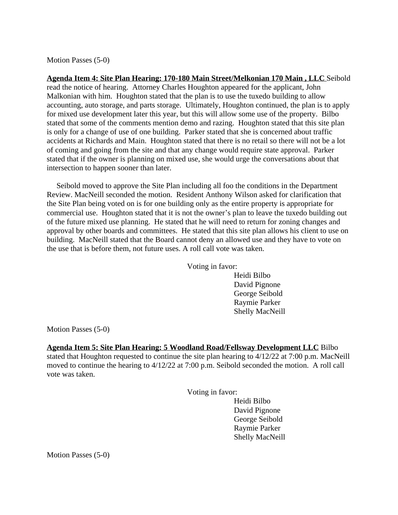Motion Passes (5-0)

**Agenda Item 4: Site Plan Hearing: 170-180 Main Street/Melkonian 170 Main , LLC** Seibold read the notice of hearing. Attorney Charles Houghton appeared for the applicant, John Malkonian with him. Houghton stated that the plan is to use the tuxedo building to allow accounting, auto storage, and parts storage. Ultimately, Houghton continued, the plan is to apply for mixed use development later this year, but this will allow some use of the property. Bilbo stated that some of the comments mention demo and razing. Houghton stated that this site plan is only for a change of use of one building. Parker stated that she is concerned about traffic accidents at Richards and Main. Houghton stated that there is no retail so there will not be a lot of coming and going from the site and that any change would require state approval. Parker stated that if the owner is planning on mixed use, she would urge the conversations about that intersection to happen sooner than later.

 Seibold moved to approve the Site Plan including all foo the conditions in the Department Review. MacNeill seconded the motion. Resident Anthony Wilson asked for clarification that the Site Plan being voted on is for one building only as the entire property is appropriate for commercial use. Houghton stated that it is not the owner's plan to leave the tuxedo building out of the future mixed use planning. He stated that he will need to return for zoning changes and approval by other boards and committees. He stated that this site plan allows his client to use on building. MacNeill stated that the Board cannot deny an allowed use and they have to vote on the use that is before them, not future uses. A roll call vote was taken.

Voting in favor:

Heidi Bilbo David Pignone George Seibold Raymie Parker Shelly MacNeill

Motion Passes (5-0)

**Agenda Item 5: Site Plan Hearing: 5 Woodland Road/Fellsway Development LLC** Bilbo stated that Houghton requested to continue the site plan hearing to 4/12/22 at 7:00 p.m. MacNeill moved to continue the hearing to 4/12/22 at 7:00 p.m. Seibold seconded the motion. A roll call vote was taken.

Voting in favor:

Heidi Bilbo David Pignone George Seibold Raymie Parker Shelly MacNeill

Motion Passes (5-0)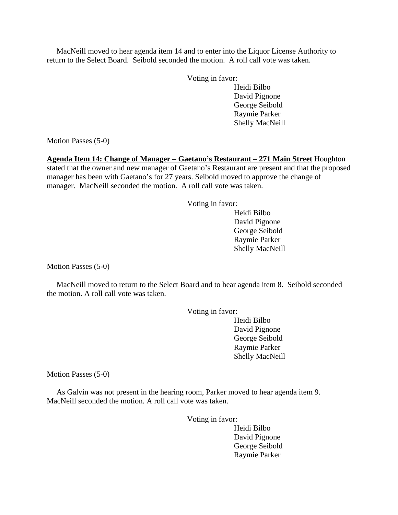MacNeill moved to hear agenda item 14 and to enter into the Liquor License Authority to return to the Select Board. Seibold seconded the motion. A roll call vote was taken.

Voting in favor:

Heidi Bilbo David Pignone George Seibold Raymie Parker Shelly MacNeill

Motion Passes (5-0)

**Agenda Item 14: Change of Manager – Gaetano's Restaurant – 271 Main Street** Houghton

stated that the owner and new manager of Gaetano's Restaurant are present and that the proposed manager has been with Gaetano's for 27 years. Seibold moved to approve the change of manager. MacNeill seconded the motion. A roll call vote was taken.

Voting in favor:

Heidi Bilbo David Pignone George Seibold Raymie Parker Shelly MacNeill

Motion Passes (5-0)

 MacNeill moved to return to the Select Board and to hear agenda item 8. Seibold seconded the motion. A roll call vote was taken.

Voting in favor:

Heidi Bilbo David Pignone George Seibold Raymie Parker Shelly MacNeill

Motion Passes (5-0)

 As Galvin was not present in the hearing room, Parker moved to hear agenda item 9. MacNeill seconded the motion. A roll call vote was taken.

Voting in favor:

Heidi Bilbo David Pignone George Seibold Raymie Parker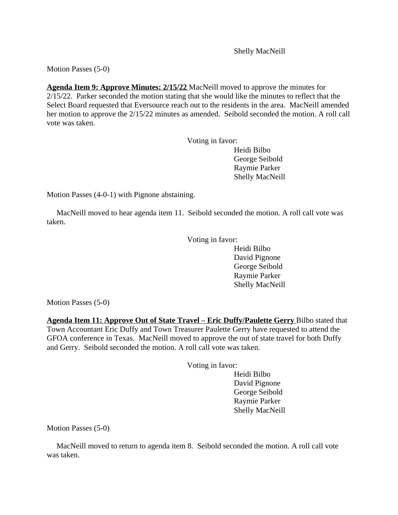Shelly MacNeill

Motion Passes (5-0)

**Agenda Item 9: Approve Minutes: 2/15/22** MacNeill moved to approve the minutes for 2/15/22. Parker seconded the motion stating that she would like the minutes to reflect that the Select Board requested that Eversource reach out to the residents in the area. MacNeill amended her motion to approve the 2/15/22 minutes as amended. Seibold seconded the motion. A roll call vote was taken.

Voting in favor:

Heidi Bilbo George Seibold Raymie Parker Shelly MacNeill

Motion Passes (4-0-1) with Pignone abstaining.

 MacNeill moved to hear agenda item 11. Seibold seconded the motion. A roll call vote was taken.

Voting in favor:

Heidi Bilbo David Pignone George Seibold Raymie Parker Shelly MacNeill

Motion Passes (5-0)

**Agenda Item 11: Approve Out of State Travel – Eric Duffy/Paulette Gerry Bilbo stated that** Town Accountant Eric Duffy and Town Treasurer Paulette Gerry have requested to attend the GFOA conference in Texas. MacNeill moved to approve the out of state travel for both Duffy and Gerry. Seibold seconded the motion. A roll call vote was taken.

Voting in favor:

Heidi Bilbo David Pignone George Seibold Raymie Parker Shelly MacNeill

Motion Passes (5-0)

 MacNeill moved to return to agenda item 8. Seibold seconded the motion. A roll call vote was taken.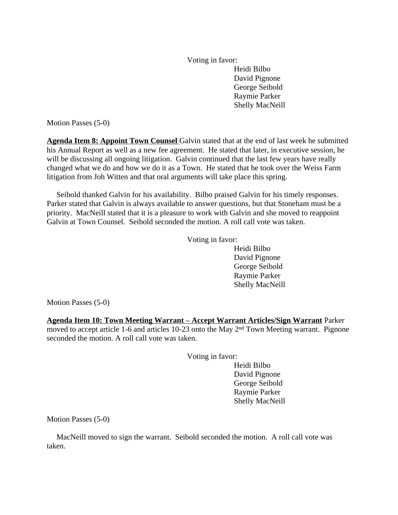Voting in favor: Heidi Bilbo David Pignone George Seibold Raymie Parker Shelly MacNeill

Motion Passes (5-0)

**Agenda Item 8: Appoint Town Counsel** Galvin stated that at the end of last week he submitted his Annual Report as well as a new fee agreement. He stated that later, in executive session, he will be discussing all ongoing litigation. Galvin continued that the last few years have really changed what we do and how we do it as a Town. He stated that he took over the Weiss Farm litigation from Joh Witten and that oral arguments will take place this spring.

 Seibold thanked Galvin for his availability. Bilbo praised Galvin for his timely responses. Parker stated that Galvin is always available to answer questions, but that Stoneham must be a priority. MacNeill stated that it is a pleasure to work with Galvin and she moved to reappoint Galvin at Town Counsel. Seibold seconded the motion. A roll call vote was taken.

Voting in favor:

Heidi Bilbo David Pignone George Seibold Raymie Parker Shelly MacNeill

Motion Passes (5-0)

**Agenda Item 10: Town Meeting Warrant – Accept Warrant Articles/Sign Warrant** Parker moved to accept article 1-6 and articles 10-23 onto the May 2nd Town Meeting warrant. Pignone seconded the motion. A roll call vote was taken.

Voting in favor:

Heidi Bilbo David Pignone George Seibold Raymie Parker Shelly MacNeill

Motion Passes (5-0)

 MacNeill moved to sign the warrant. Seibold seconded the motion. A roll call vote was taken.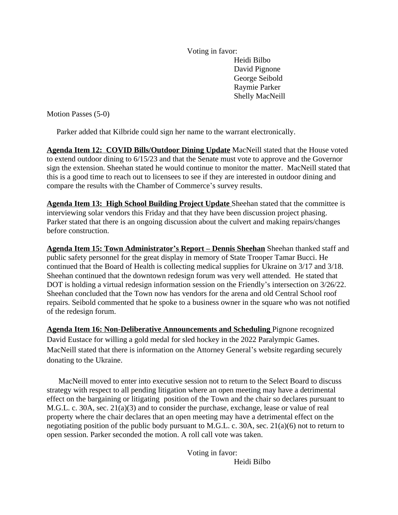Voting in favor: Heidi Bilbo David Pignone George Seibold Raymie Parker Shelly MacNeill

Motion Passes (5-0)

Parker added that Kilbride could sign her name to the warrant electronically.

**Agenda Item 12: COVID Bills/Outdoor Dining Update** MacNeill stated that the House voted to extend outdoor dining to 6/15/23 and that the Senate must vote to approve and the Governor sign the extension. Sheehan stated he would continue to monitor the matter. MacNeill stated that this is a good time to reach out to licensees to see if they are interested in outdoor dining and compare the results with the Chamber of Commerce's survey results.

**Agenda Item 13: High School Building Project Update** Sheehan stated that the committee is interviewing solar vendors this Friday and that they have been discussion project phasing. Parker stated that there is an ongoing discussion about the culvert and making repairs/changes before construction.

**Agenda Item 15: Town Administrator's Report – Dennis Sheehan** Sheehan thanked staff and public safety personnel for the great display in memory of State Trooper Tamar Bucci. He continued that the Board of Health is collecting medical supplies for Ukraine on 3/17 and 3/18. Sheehan continued that the downtown redesign forum was very well attended. He stated that DOT is holding a virtual redesign information session on the Friendly's intersection on 3/26/22. Sheehan concluded that the Town now has vendors for the arena and old Central School roof repairs. Seibold commented that he spoke to a business owner in the square who was not notified of the redesign forum.

**Agenda Item 16: Non-Deliberative Announcements and Scheduling** Pignone recognized David Eustace for willing a gold medal for sled hockey in the 2022 Paralympic Games. MacNeill stated that there is information on the Attorney General's website regarding securely donating to the Ukraine.

 MacNeill moved to enter into executive session not to return to the Select Board to discuss strategy with respect to all pending litigation where an open meeting may have a detrimental effect on the bargaining or litigating position of the Town and the chair so declares pursuant to M.G.L. c. 30A, sec. 21(a)(3) and to consider the purchase, exchange, lease or value of real property where the chair declares that an open meeting may have a detrimental effect on the negotiating position of the public body pursuant to M.G.L. c. 30A, sec. 21(a)(6) not to return to open session. Parker seconded the motion. A roll call vote was taken.

> Voting in favor: Heidi Bilbo